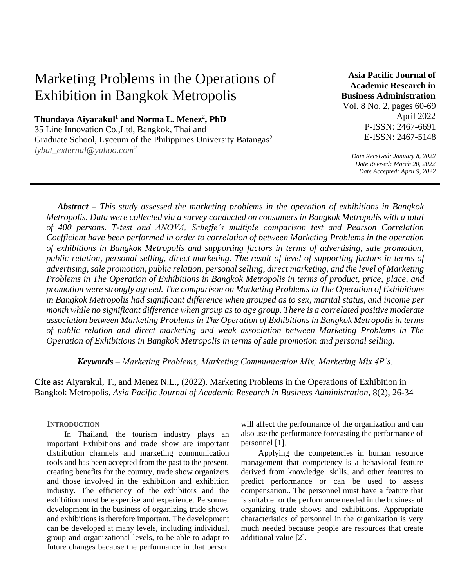# Marketing Problems in the Operations of Exhibition in Bangkok Metropolis

**Thundaya Aiyarakul<sup>1</sup> and Norma L. Menez<sup>2</sup> , PhD**

35 Line Innovation Co.,Ltd, Bangkok, Thailand<sup>1</sup> Graduate School, Lyceum of the Philippines University Batangas<sup>2</sup> *lybat\_external@yahoo.com<sup>2</sup>*

**Asia Pacific Journal of Academic Research in Business Administration** 

Vol. 8 No. 2, pages 60-69 April 2022 P-ISSN: 2467-6691 E-ISSN: 2467-5148

*Date Received: January 8, 2022 Date Revised: March 20, 2022 Date Accepted: April 9, 2022*

*Abstract – This study assessed the marketing problems in the operation of exhibitions in Bangkok Metropolis. Data were collected via a survey conducted on consumers in Bangkok Metropolis with a total of 400 persons. T-test and ANOVA, Scheffe's multiple comparison test and Pearson Correlation Coefficient have been performed in order to correlation of between Marketing Problems in the operation of exhibitions in Bangkok Metropolis and supporting factors in terms of advertising, sale promotion, public relation, personal selling, direct marketing. The result of level of supporting factors in terms of advertising, sale promotion, public relation, personal selling, direct marketing, and the level of Marketing Problems in The Operation of Exhibitions in Bangkok Metropolis in terms of product, price, place, and promotion were strongly agreed. The comparison on Marketing Problems in The Operation of Exhibitions in Bangkok Metropolis had significant difference when grouped as to sex, marital status, and income per month while no significant difference when group as to age group. There is a correlated positive moderate association between Marketing Problems in The Operation of Exhibitions in Bangkok Metropolis in terms of public relation and direct marketing and weak association between Marketing Problems in The Operation of Exhibitions in Bangkok Metropolis in terms of sale promotion and personal selling.* 

*Keywords – Marketing Problems, Marketing Communication Mix, Marketing Mix 4P's.*

**Cite as:** Aiyarakul, T., and Menez N.L., (2022). Marketing Problems in the Operations of Exhibition in Bangkok Metropolis, *Asia Pacific Journal of Academic Research in Business Administration*, 8(2), 26-34

# **INTRODUCTION**

In Thailand, the tourism industry plays an important Exhibitions and trade show are important distribution channels and marketing communication tools and has been accepted from the past to the present, creating benefits for the country, trade show organizers and those involved in the exhibition and exhibition industry. The efficiency of the exhibitors and the exhibition must be expertise and experience. Personnel development in the business of organizing trade shows and exhibitions is therefore important. The development can be developed at many levels, including individual, group and organizational levels, to be able to adapt to future changes because the performance in that person

will affect the performance of the organization and can also use the performance forecasting the performance of personnel [1].

Applying the competencies in human resource management that competency is a behavioral feature derived from knowledge, skills, and other features to predict performance or can be used to assess compensation.. The personnel must have a feature that is suitable for the performance needed in the business of organizing trade shows and exhibitions. Appropriate characteristics of personnel in the organization is very much needed because people are resources that create additional value [2].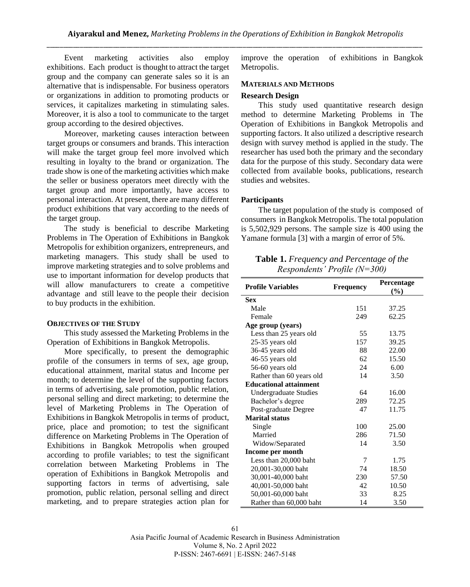Event marketing activities also employ exhibitions. Each product is thought to attract the target group and the company can generate sales so it is an alternative that is indispensable. For business operators or organizations in addition to promoting products or services, it capitalizes marketing in stimulating sales. Moreover, it is also a tool to communicate to the target group according to the desired objectives.

Moreover, marketing causes interaction between target groups or consumers and brands. This interaction will make the target group feel more involved which resulting in loyalty to the brand or organization. The trade show is one of the marketing activities which make the seller or business operators meet directly with the target group and more importantly, have access to personal interaction. At present, there are many different product exhibitions that vary according to the needs of the target group.

The study is beneficial to describe Marketing Problems in The Operation of Exhibitions in Bangkok Metropolis for exhibition organizers, entrepreneurs, and marketing managers. This study shall be used to improve marketing strategies and to solve problems and use to important information for develop products that will allow manufacturers to create a competitive advantage and still leave to the people their decision to buy products in the exhibition.

#### **OBJECTIVES OF THE STUDY**

This study assessed the Marketing Problems in the Operation of Exhibitions in Bangkok Metropolis.

More specifically, to present the demographic profile of the consumers in terms of sex, age group, educational attainment, marital status and Income per month; to determine the level of the supporting factors in terms of advertising, sale promotion, public relation, personal selling and direct marketing; to determine the level of Marketing Problems in The Operation of Exhibitions in Bangkok Metropolis in terms of product, price, place and promotion; to test the significant difference on Marketing Problems in The Operation of Exhibitions in Bangkok Metropolis when grouped according to profile variables; to test the significant correlation between Marketing Problems in The operation of Exhibitions in Bangkok Metropolis and supporting factors in terms of advertising, sale promotion, public relation, personal selling and direct marketing, and to prepare strategies action plan for

improve the operation of exhibitions in Bangkok Metropolis.

### **MATERIALS AND METHODS**

#### **Research Design**

This study used quantitative research design method to determine Marketing Problems in The Operation of Exhibitions in Bangkok Metropolis and supporting factors. It also utilized a descriptive research design with survey method is applied in the study. The researcher has used both the primary and the secondary data for the purpose of this study. Secondary data were collected from available books, publications, research studies and websites.

## **Participants**

The target population of the study is composed of consumers in Bangkok Metropolis. The total population is 5,502,929 persons. The sample size is 400 using the Yamane formula [3] with a margin of error of 5%.

**Table 1.** *Frequency and Percentage of the Respondents' Profile (N=300)* 

| <b>Profile Variables</b>      | <b>Frequency</b> | Percentage<br>(%) |
|-------------------------------|------------------|-------------------|
| <b>Sex</b>                    |                  |                   |
| Male                          | 151              | 37.25             |
| Female                        | 249              | 62.25             |
| Age group (years)             |                  |                   |
| Less than 25 years old        | 55               | 13.75             |
| 25-35 years old               | 157              | 39.25             |
| 36-45 years old               | 88               | 22.00             |
| 46-55 years old               | 62               | 15.50             |
| 56-60 years old               | 24               | 6.00              |
| Rather than 60 years old      | 14               | 3.50              |
| <b>Educational attainment</b> |                  |                   |
| Undergraduate Studies         | 64               | 16.00             |
| Bachelor's degree             | 289              | 72.25             |
| Post-graduate Degree          | 47               | 11.75             |
| Marital status                |                  |                   |
| Single                        | 100              | 25.00             |
| Married                       | 286              | 71.50             |
| Widow/Separated               | 14               | 3.50              |
| Income per month              |                  |                   |
| Less than 20,000 baht         | 7                | 1.75              |
| 20,001-30,000 baht            | 74               | 18.50             |
| 30,001-40,000 baht            | 230              | 57.50             |
| 40,001-50,000 baht            | 42               | 10.50             |
| 50,001-60,000 baht            | 33               | 8.25              |
| Rather than 60,000 baht       | 14               | 3.50              |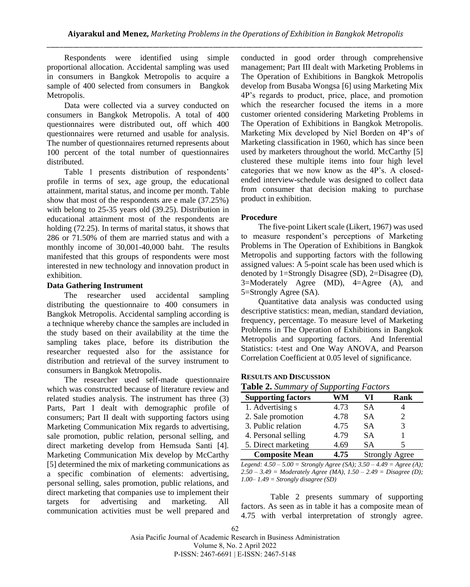Respondents were identified using simple proportional allocation. Accidental sampling was used in consumers in Bangkok Metropolis to acquire a sample of 400 selected from consumers in Bangkok Metropolis.

Data were collected via a survey conducted on consumers in Bangkok Metropolis. A total of 400 questionnaires were distributed out, off which 400 questionnaires were returned and usable for analysis. The number of questionnaires returned represents about 100 percent of the total number of questionnaires distributed.

Table 1 presents distribution of respondents' profile in terms of sex, age group, the educational attainment, marital status, and income per month. Table show that most of the respondents are e male (37.25%) with belong to 25-35 years old (39.25). Distribution in educational attainment most of the respondents are holding (72.25). In terms of marital status, it shows that 286 or 71.50% of them are married status and with a monthly income of 30,001-40,000 baht. The results manifested that this groups of respondents were most interested in new technology and innovation product in exhibition.

## **Data Gathering Instrument**

The researcher used accidental sampling distributing the questionnaire to 400 consumers in Bangkok Metropolis. Accidental sampling according is a technique whereby chance the samples are included in the study based on their availability at the time the sampling takes place, before its distribution the researcher requested also for the assistance for distribution and retrieval of the survey instrument to consumers in Bangkok Metropolis.

The researcher used self-made questionnaire which was constructed because of literature review and related studies analysis. The instrument has three (3) Parts, Part I dealt with demographic profile of consumers; Part II dealt with supporting factors using Marketing Communication Mix regards to advertising, sale promotion, public relation, personal selling, and direct marketing develop from Hemsuda Santi [4]. Marketing Communication Mix develop by McCarthy [5] determined the mix of marketing communications as a specific combination of elements: advertising, personal selling, sales promotion, public relations, and direct marketing that companies use to implement their targets for advertising and marketing. All communication activities must be well prepared and

conducted in good order through comprehensive management; Part III dealt with Marketing Problems in The Operation of Exhibitions in Bangkok Metropolis develop from Busaba Wongsa [6] using Marketing Mix 4P's regards to product, price, place, and promotion which the researcher focused the items in a more customer oriented considering Marketing Problems in The Operation of Exhibitions in Bangkok Metropolis. Marketing Mix developed by Niel Borden on 4P's of Marketing classification in 1960, which has since been used by marketers throughout the world. McCarthy [5] clustered these multiple items into four high level categories that we now know as the 4P's. A closedended interview-schedule was designed to collect data from consumer that decision making to purchase product in exhibition.

#### **Procedure**

The five-point Likert scale (Likert, 1967) was used to measure respondent's perceptions of Marketing Problems in The Operation of Exhibitions in Bangkok Metropolis and supporting factors with the following assigned values: A 5-point scale has been used which is denoted by 1=Strongly Disagree (SD), 2=Disagree (D), 3=Moderately Agree (MD), 4=Agree (A), and 5=Strongly Agree (SA).

Quantitative data analysis was conducted using descriptive statistics: mean, median, standard deviation, frequency, percentage. To measure level of Marketing Problems in The Operation of Exhibitions in Bangkok Metropolis and supporting factors. And Inferential Statistics: t-test and One Way ANOVA, and Pearson Correlation Coefficient at 0.05 level of significance.

### **RESULTS AND DISCUSSION**

### **Table 2.** *Summary of Supporting Factors*

| <b>Supporting factors</b> | WM   | VI        | Rank                  |
|---------------------------|------|-----------|-----------------------|
| 1. Advertising s          | 4.73 | SА        |                       |
| 2. Sale promotion         | 4.78 | <b>SA</b> | 2                     |
| 3. Public relation        | 4.75 | <b>SA</b> | 3                     |
| 4. Personal selling       | 4.79 | <b>SA</b> |                       |
| 5. Direct marketing       | 4.69 | SA        |                       |
| <b>Composite Mean</b>     | 4.75 |           | <b>Strongly Agree</b> |

*Legend: 4.50 – 5.00 = Strongly Agree (SA); 3.50 – 4.49 = Agree (A); 2.50 – 3.49 = Moderately Agree (MA), 1.50 – 2.49 = Disagree (D); 1.00– 1.49 = Strongly disagree (SD)*

Table 2 presents summary of supporting factors. As seen as in table it has a composite mean of 4.75 with verbal interpretation of strongly agree.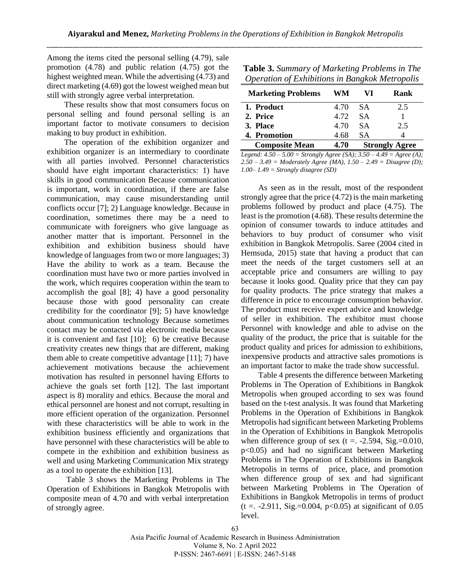Among the items cited the personal selling (4.79), sale promotion (4.78) and public relation (4.75) got the highest weighted mean. While the advertising (4.73) and direct marketing (4.69) got the lowest weighed mean but still with strongly agree verbal interpretation.

These results show that most consumers focus on personal selling and found personal selling is an important factor to motivate consumers to decision making to buy product in exhibition.

The operation of the exhibition organizer and exhibition organizer is an intermediary to coordinate with all parties involved. Personnel characteristics should have eight important characteristics: 1) have skills in good communication Because communication is important, work in coordination, if there are false communication, may cause misunderstanding until conflicts occur [7]; 2) Language knowledge. Because in coordination, sometimes there may be a need to communicate with foreigners who give language as another matter that is important. Personnel in the exhibition and exhibition business should have knowledge of languages from two or more languages; 3) Have the ability to work as a team. Because the coordination must have two or more parties involved in the work, which requires cooperation within the team to accomplish the goal [8]; 4) have a good personality because those with good personality can create credibility for the coordinator [9]; 5) have knowledge about communication technology Because sometimes contact may be contacted via electronic media because it is convenient and fast [10]; 6) be creative Because creativity creates new things that are different, making them able to create competitive advantage [11]; 7) have achievement motivations because the achievement motivation has resulted in personnel having Efforts to achieve the goals set forth [12]. The last important aspect is 8) morality and ethics. Because the moral and ethical personnel are honest and not corrupt, resulting in more efficient operation of the organization. Personnel with these characteristics will be able to work in the exhibition business efficiently and organizations that have personnel with these characteristics will be able to compete in the exhibition and exhibition business as well and using Marketing Communication Mix strategy as a tool to operate the exhibition [13].

Table 3 shows the Marketing Problems in The Operation of Exhibitions in Bangkok Metropolis with composite mean of 4.70 and with verbal interpretation of strongly agree.

**Table 3.** *Summary of Marketing Problems in The Operation of Exhibitions in Bangkok Metropolis*

| <b>Marketing Problems</b> | WМ   | VI        | Rank                  |
|---------------------------|------|-----------|-----------------------|
| 1. Product                | 4.70 | - SA      | 2.5                   |
| 2. Price                  | 4.72 | <b>SA</b> |                       |
| 3. Place                  | 4.70 | <b>SA</b> | 2.5                   |
| 4. Promotion              | 4.68 | <b>SA</b> |                       |
| <b>Composite Mean</b>     | 4.70 |           | <b>Strongly Agree</b> |

*Legend: 4.50 – 5.00 = Strongly Agree (SA); 3.50 – 4.49 = Agree (A); 2.50 – 3.49 = Moderately Agree (MA), 1.50 – 2.49 = Disagree (D); 1.00– 1.49 = Strongly disagree (SD)*

As seen as in the result, most of the respondent strongly agree that the price (4.72) is the main marketing problems followed by product and place (4.75). The least is the promotion (4.68). These results determine the opinion of consumer towards to induce attitudes and behaviors to buy product of consumer who visit exhibition in Bangkok Metropolis. Saree (2004 cited in Hemsuda, 2015) state that having a product that can meet the needs of the target customers sell at an acceptable price and consumers are willing to pay because it looks good. Quality price that they can pay for quality products. The price strategy that makes a difference in price to encourage consumption behavior. The product must receive expert advice and knowledge of seller in exhibition. The exhibitor must choose Personnel with knowledge and able to advise on the quality of the product, the price that is suitable for the product quality and prices for admission to exhibitions, inexpensive products and attractive sales promotions is an important factor to make the trade show successful.

Table 4 presents the difference between Marketing Problems in The Operation of Exhibitions in Bangkok Metropolis when grouped according to sex was found based on the t-test analysis. It was found that Marketing Problems in the Operation of Exhibitions in Bangkok Metropolis had significant between Marketing Problems in the Operation of Exhibitions in Bangkok Metropolis when difference group of sex (t =  $-2.594$ , Sig.=0.010, p<0.05) and had no significant between Marketing Problems in The Operation of Exhibitions in Bangkok Metropolis in terms of price, place, and promotion when difference group of sex and had significant between Marketing Problems in The Operation of Exhibitions in Bangkok Metropolis in terms of product  $(t = . -2.911, Sig = 0.004, p < 0.05)$  at significant of 0.05 level.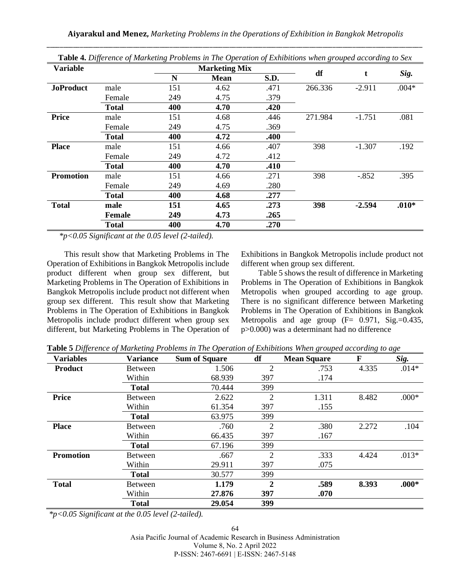| <b>Variable</b>  |              |     | <b>Marketing Mix</b> |      |         |          |         |
|------------------|--------------|-----|----------------------|------|---------|----------|---------|
|                  |              | N   | <b>Mean</b>          | S.D. | df      | t        | Sig.    |
| <b>JoProduct</b> | male         | 151 | 4.62                 | .471 | 266.336 | $-2.911$ | $.004*$ |
|                  | Female       | 249 | 4.75                 | .379 |         |          |         |
|                  | <b>Total</b> | 400 | 4.70                 | .420 |         |          |         |
| <b>Price</b>     | male         | 151 | 4.68                 | .446 | 271.984 | $-1.751$ | .081    |
|                  | Female       | 249 | 4.75                 | .369 |         |          |         |
|                  | <b>Total</b> | 400 | 4.72                 | .400 |         |          |         |
| <b>Place</b>     | male         | 151 | 4.66                 | .407 | 398     | $-1.307$ | .192    |
|                  | Female       | 249 | 4.72                 | .412 |         |          |         |
|                  | <b>Total</b> | 400 | 4.70                 | .410 |         |          |         |
| <b>Promotion</b> | male         | 151 | 4.66                 | .271 | 398     | $-.852$  | .395    |
|                  | Female       | 249 | 4.69                 | .280 |         |          |         |
|                  | <b>Total</b> | 400 | 4.68                 | .277 |         |          |         |
| <b>Total</b>     | male         | 151 | 4.65                 | .273 | 398     | $-2.594$ | $.010*$ |
|                  | Female       | 249 | 4.73                 | .265 |         |          |         |
|                  | <b>Total</b> | 400 | 4.70                 | .270 |         |          |         |

**Table 4.** *Difference of Marketing Problems in The Operation of Exhibitions when grouped according to Sex*

 *\*p<0.05 Significant at the 0.05 level (2-tailed).*

This result show that Marketing Problems in The Operation of Exhibitions in Bangkok Metropolis include product different when group sex different, but Marketing Problems in The Operation of Exhibitions in Bangkok Metropolis include product not different when group sex different. This result show that Marketing Problems in The Operation of Exhibitions in Bangkok Metropolis include product different when group sex different, but Marketing Problems in The Operation of Exhibitions in Bangkok Metropolis include product not different when group sex different.

Table 5 shows the result of difference in Marketing Problems in The Operation of Exhibitions in Bangkok Metropolis when grouped according to age group. There is no significant difference between Marketing Problems in The Operation of Exhibitions in Bangkok Metropolis and age group  $(F= 0.971, Sig.=0.435,$ p>0.000) was a determinant had no difference

**Table 5** *Difference of Marketing Problems in The Operation of Exhibitions When grouped according to age* 

| $\cdot$<br><b>Variables</b> | Ō.<br><b>Variance</b> | <b>Sum of Square</b> | df             | $\mathbf \sigma$<br><b>Mean Square</b> | $\mathbf{\mathcal{C}}$<br>F | $\mathbf{\mathcal{L}}$<br>Sig. |
|-----------------------------|-----------------------|----------------------|----------------|----------------------------------------|-----------------------------|--------------------------------|
| <b>Product</b>              | Between               | 1.506                | $\overline{2}$ | .753                                   | 4.335                       | $.014*$                        |
|                             | Within                | 68.939               | 397            | .174                                   |                             |                                |
|                             | <b>Total</b>          | 70.444               | 399            |                                        |                             |                                |
| <b>Price</b>                | <b>Between</b>        | 2.622                | $\overline{2}$ | 1.311                                  | 8.482                       | $.000*$                        |
|                             | Within                | 61.354               | 397            | .155                                   |                             |                                |
|                             | <b>Total</b>          | 63.975               | 399            |                                        |                             |                                |
| <b>Place</b>                | <b>Between</b>        | .760                 | $\overline{2}$ | .380                                   | 2.272                       | .104                           |
|                             | Within                | 66.435               | 397            | .167                                   |                             |                                |
|                             | <b>Total</b>          | 67.196               | 399            |                                        |                             |                                |
| <b>Promotion</b>            | <b>Between</b>        | .667                 | $\overline{2}$ | .333                                   | 4.424                       | $.013*$                        |
|                             | Within                | 29.911               | 397            | .075                                   |                             |                                |
|                             | <b>Total</b>          | 30.577               | 399            |                                        |                             |                                |
| <b>Total</b>                | Between               | 1.179                | $\mathbf{2}$   | .589                                   | 8.393                       | $.000*$                        |
|                             | Within                | 27.876               | 397            | .070                                   |                             |                                |
|                             | <b>Total</b>          | 29.054               | 399            |                                        |                             |                                |

*\*p<0.05 Significant at the 0.05 level (2-tailed).*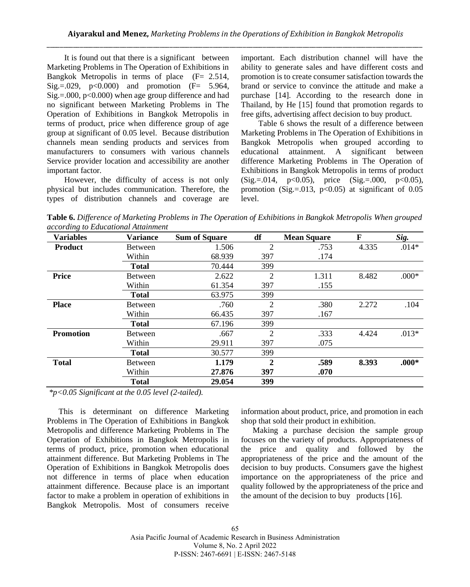It is found out that there is a significant between Marketing Problems in The Operation of Exhibitions in Bangkok Metropolis in terms of place  $(F = 2.514,$  $Sig = .029, p < 0.000$  and promotion (F= 5.964,  $Sig = .000$ ,  $p < 0.000$ ) when age group difference and had no significant between Marketing Problems in The Operation of Exhibitions in Bangkok Metropolis in terms of product, price when difference group of age group at significant of 0.05 level. Because distribution channels mean sending products and services from manufacturers to consumers with various channels Service provider location and accessibility are another important factor.

However, the difficulty of access is not only physical but includes communication. Therefore, the types of distribution channels and coverage are

important. Each distribution channel will have the ability to generate sales and have different costs and promotion is to create consumer satisfaction towards the brand or service to convince the attitude and make a purchase [14]. According to the research done in Thailand, by He [15] found that promotion regards to free gifts, advertising affect decision to buy product.

Table 6 shows the result of a difference between Marketing Problems in The Operation of Exhibitions in Bangkok Metropolis when grouped according to educational attainment. A significant between difference Marketing Problems in The Operation of Exhibitions in Bangkok Metropolis in terms of product  $(Sig. = .014, p<0.05)$ , price  $(Sig. = .000, p<0.05)$ , promotion (Sig.=.013,  $p<0.05$ ) at significant of 0.05 level.

**Table 6.** *Difference of Marketing Problems in The Operation of Exhibitions in Bangkok Metropolis When grouped according to Educational Attainment* 

| <b>Variables</b> | <b>Variance</b> | <b>Sum of Square</b> | df             | <b>Mean Square</b> | F     | Sig.    |
|------------------|-----------------|----------------------|----------------|--------------------|-------|---------|
| <b>Product</b>   | <b>Between</b>  | 1.506                | 2              | .753               | 4.335 | $.014*$ |
|                  | Within          | 68.939               | 397            | .174               |       |         |
|                  | <b>Total</b>    | 70.444               | 399            |                    |       |         |
| Price            | <b>Between</b>  | 2.622                | $\overline{2}$ | 1.311              | 8.482 | $.000*$ |
|                  | Within          | 61.354               | 397            | .155               |       |         |
|                  | <b>Total</b>    | 63.975               | 399            |                    |       |         |
| <b>Place</b>     | <b>Between</b>  | .760                 | 2              | .380               | 2.272 | .104    |
|                  | Within          | 66.435               | 397            | .167               |       |         |
|                  | <b>Total</b>    | 67.196               | 399            |                    |       |         |
| <b>Promotion</b> | <b>Between</b>  | .667                 | $\overline{2}$ | .333               | 4.424 | $.013*$ |
|                  | Within          | 29.911               | 397            | .075               |       |         |
|                  | <b>Total</b>    | 30.577               | 399            |                    |       |         |
| <b>Total</b>     | <b>Between</b>  | 1.179                | $\mathbf{2}$   | .589               | 8.393 | $.000*$ |
|                  | Within          | 27.876               | 397            | .070               |       |         |
|                  | <b>Total</b>    | 29.054               | 399            |                    |       |         |

*\*p<0.05 Significant at the 0.05 level (2-tailed).*

This is determinant on difference Marketing Problems in The Operation of Exhibitions in Bangkok Metropolis and difference Marketing Problems in The Operation of Exhibitions in Bangkok Metropolis in terms of product, price, promotion when educational attainment difference. But Marketing Problems in The Operation of Exhibitions in Bangkok Metropolis does not difference in terms of place when education attainment difference. Because place is an important factor to make a problem in operation of exhibitions in Bangkok Metropolis. Most of consumers receive

information about product, price, and promotion in each shop that sold their product in exhibition.

Making a purchase decision the sample group focuses on the variety of products. Appropriateness of the price and quality and followed by the appropriateness of the price and the amount of the decision to buy products. Consumers gave the highest importance on the appropriateness of the price and quality followed by the appropriateness of the price and the amount of the decision to buy products [16].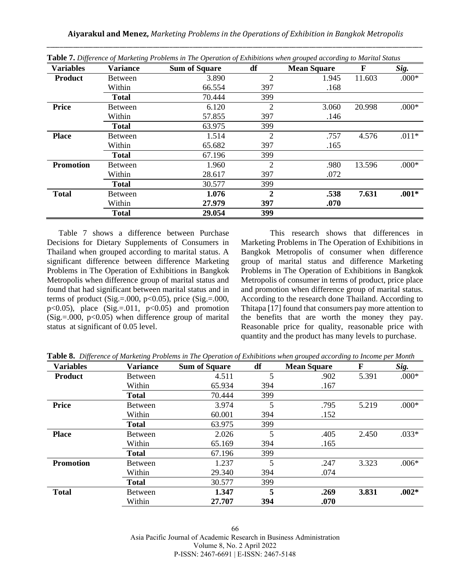| <b>Variables</b> | <b>Variance</b> | <b>Sum of Square</b> | df             | <b>Mean Square</b> | F      | Sig.    |
|------------------|-----------------|----------------------|----------------|--------------------|--------|---------|
| <b>Product</b>   | Between         | 3.890                | $\overline{2}$ | 1.945              | 11.603 | $.000*$ |
|                  | Within          | 66.554               | 397            | .168               |        |         |
|                  | <b>Total</b>    | 70.444               | 399            |                    |        |         |
| <b>Price</b>     | Between         | 6.120                | 2              | 3.060              | 20.998 | $.000*$ |
|                  | Within          | 57.855               | 397            | .146               |        |         |
|                  | <b>Total</b>    | 63.975               | 399            |                    |        |         |
| <b>Place</b>     | Between         | 1.514                | 2              | .757               | 4.576  | $.011*$ |
|                  | Within          | 65.682               | 397            | .165               |        |         |
|                  | <b>Total</b>    | 67.196               | 399            |                    |        |         |
| <b>Promotion</b> | Between         | 1.960                | $\overline{2}$ | .980               | 13.596 | $.000*$ |
|                  | Within          | 28.617               | 397            | .072               |        |         |
|                  | <b>Total</b>    | 30.577               | 399            |                    |        |         |
| <b>Total</b>     | Between         | 1.076                | $\mathbf{2}$   | .538               | 7.631  | $.001*$ |
|                  | Within          | 27.979               | 397            | .070               |        |         |
|                  | <b>Total</b>    | 29.054               | 399            |                    |        |         |

**Table 7.** *Difference of Marketing Problems in The Operation of Exhibitions when grouped according to Marital Status*

Table 7 shows a difference between Purchase Decisions for Dietary Supplements of Consumers in Thailand when grouped according to marital status. A significant difference between difference Marketing Problems in The Operation of Exhibitions in Bangkok Metropolis when difference group of marital status and found that had significant between marital status and in terms of product (Sig.=.000,  $p<0.05$ ), price (Sig.=.000,  $p<0.05$ ), place (Sig.=.011,  $p<0.05$ ) and promotion  $(Sig. = 000, p<0.05)$  when difference group of marital status at significant of 0.05 level.

This research shows that differences in Marketing Problems in The Operation of Exhibitions in Bangkok Metropolis of consumer when difference group of marital status and difference Marketing Problems in The Operation of Exhibitions in Bangkok Metropolis of consumer in terms of product, price place and promotion when difference group of marital status. According to the research done Thailand. According to Thitapa [17] found that consumers pay more attention to the benefits that are worth the money they pay. Reasonable price for quality, reasonable price with quantity and the product has many levels to purchase.

**Table 8.** *Difference of Marketing Problems in The Operation of Exhibitions when grouped according to Income per Month* 

| <b>Variables</b> | <b>Variance</b> | <b>Sum of Square</b> | df  | <b>Mean Square</b> | F     | Sig.    |
|------------------|-----------------|----------------------|-----|--------------------|-------|---------|
| <b>Product</b>   | <b>Between</b>  | 4.511                | 5   | .902               | 5.391 | $.000*$ |
|                  | Within          | 65.934               | 394 | .167               |       |         |
|                  | <b>Total</b>    | 70.444               | 399 |                    |       |         |
| <b>Price</b>     | <b>Between</b>  | 3.974                | 5   | .795               | 5.219 | $.000*$ |
|                  | Within          | 60.001               | 394 | .152               |       |         |
|                  | <b>Total</b>    | 63.975               | 399 |                    |       |         |
| <b>Place</b>     | <b>Between</b>  | 2.026                | 5   | .405               | 2.450 | $.033*$ |
|                  | Within          | 65.169               | 394 | .165               |       |         |
|                  | <b>Total</b>    | 67.196               | 399 |                    |       |         |
| <b>Promotion</b> | <b>Between</b>  | 1.237                | 5   | .247               | 3.323 | $.006*$ |
|                  | Within          | 29.340               | 394 | .074               |       |         |
|                  | <b>Total</b>    | 30.577               | 399 |                    |       |         |
| <b>Total</b>     | <b>Between</b>  | 1.347                | 5   | .269               | 3.831 | $.002*$ |
|                  | Within          | 27.707               | 394 | .070               |       |         |

Asia Pacific Journal of Academic Research in Business Administration Volume 8, No. 2 April 2022 P-ISSN: 2467-6691 | E-ISSN: 2467-5148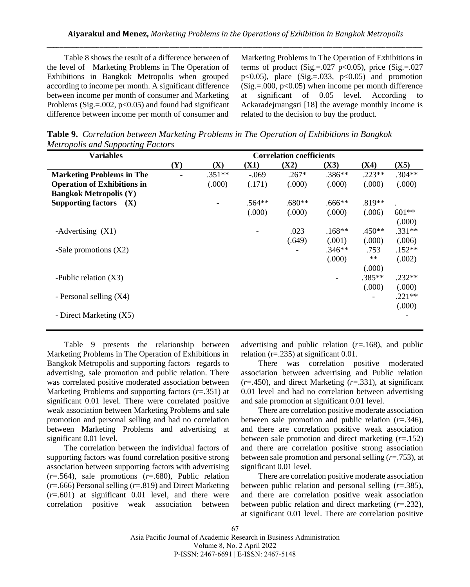Table 8 shows the result of a difference between of the level of Marketing Problems in The Operation of Exhibitions in Bangkok Metropolis when grouped according to income per month. A significant difference between income per month of consumer and Marketing Problems (Sig.=. $0.002$ , p< $0.05$ ) and found had significant difference between income per month of consumer and

Marketing Problems in The Operation of Exhibitions in terms of product (Sig.=. $027$  p<0.05), price (Sig.= $.027$ ) p $<0.05$ ), place (Sig.=.033, p $<0.05$ ) and promotion  $(Sig. = 000, p<0.05)$  when income per month difference at significant of 0.05 level. According to Ackaradejruangsri [18] the average monthly income is related to the decision to buy the product.

**Table 9.** *Correlation between Marketing Problems in The Operation of Exhibitions in Bangkok Metropolis and Supporting Factors*

| <b>Variables</b>                        |     |          |          | <b>Correlation coefficients</b> |          |          |          |
|-----------------------------------------|-----|----------|----------|---------------------------------|----------|----------|----------|
|                                         | (Y) | (X)      | (X1)     | (X2)                            | (X3)     | (X4)     | (X5)     |
| <b>Marketing Problems in The</b>        |     | $.351**$ | $-.069$  | $.267*$                         | $.386**$ | $.223**$ | $.304**$ |
| <b>Operation of Exhibitions in</b>      |     | (.000)   | (.171)   | (.000)                          | (.000)   | (.000)   | (.000)   |
| <b>Bangkok Metropolis (Y)</b>           |     |          |          |                                 |          |          |          |
| <b>Supporting factors</b><br><b>(X)</b> |     |          | $.564**$ | $.680**$                        | $.666**$ | $.819**$ |          |
|                                         |     |          | (.000)   | (.000)                          | (0.000)  | (.006)   | $601**$  |
|                                         |     |          |          |                                 |          |          | (.000)   |
| -Advertising $(X1)$                     |     |          |          | .023                            | $.168**$ | $.450**$ | $.331**$ |
|                                         |     |          |          | (.649)                          | (.001)   | (.000)   | (.006)   |
| -Sale promotions $(X2)$                 |     |          |          |                                 | $.346**$ | .753     | $.152**$ |
|                                         |     |          |          |                                 | (.000)   | $***$    | (.002)   |
|                                         |     |          |          |                                 |          | (.000)   |          |
| -Public relation $(X3)$                 |     |          |          |                                 |          | $.385**$ | $.232**$ |
|                                         |     |          |          |                                 |          | (.000)   | (0.000)  |
| - Personal selling (X4)                 |     |          |          |                                 |          |          | $.221**$ |
|                                         |     |          |          |                                 |          |          | (000)    |
| - Direct Marketing (X5)                 |     |          |          |                                 |          |          |          |
|                                         |     |          |          |                                 |          |          |          |

Table 9 presents the relationship between Marketing Problems in The Operation of Exhibitions in Bangkok Metropolis and supporting factors regards to advertising, sale promotion and public relation. There was correlated positive moderated association between Marketing Problems and supporting factors (*r*=.351) at significant 0.01 level. There were correlated positive weak association between Marketing Problems and sale promotion and personal selling and had no correlation between Marketing Problems and advertising at significant 0.01 level.

The correlation between the individual factors of supporting factors was found correlation positive strong association between supporting factors with advertising  $(r=0.564)$ , sale promotions  $(r=0.680)$ , Public relation (*r*=.666) Personal selling (*r*=.819) and Direct Marketing (*r*=.601) at significant 0.01 level, and there were correlation positive weak association between

advertising and public relation (*r*=.168), and public relation (r=.235) at significant 0.01.

There was correlation positive moderated association between advertising and Public relation (*r*=.450), and direct Marketing (*r*=.331), at significant 0.01 level and had no correlation between advertising and sale promotion at significant 0.01 level.

There are correlation positive moderate association between sale promotion and public relation  $(r=.346)$ , and there are correlation positive weak association between sale promotion and direct marketing (*r*=.152) and there are correlation positive strong association between sale promotion and personal selling (*r*=.753), at significant 0.01 level.

There are correlation positive moderate association between public relation and personal selling (*r*=.385), and there are correlation positive weak association between public relation and direct marketing (*r*=.232), at significant 0.01 level. There are correlation positive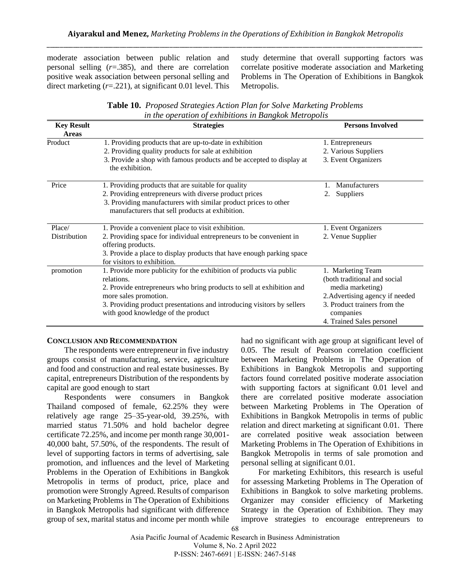moderate association between public relation and personal selling (*r*=.385), and there are correlation positive weak association between personal selling and direct marketing (*r*=.221), at significant 0.01 level. This study determine that overall supporting factors was correlate positive moderate association and Marketing Problems in The Operation of Exhibitions in Bangkok Metropolis.

| Table 10. Proposed Strategies Action Plan for Solve Marketing Problems |
|------------------------------------------------------------------------|
| in the operation of exhibitions in Bangkok Metropolis                  |

| <b>Key Result</b> | <b>Strategies</b>                                                                         | <b>Persons Involved</b>         |
|-------------------|-------------------------------------------------------------------------------------------|---------------------------------|
| Areas             |                                                                                           |                                 |
| Product           | 1. Providing products that are up-to-date in exhibition                                   | 1. Entrepreneurs                |
|                   | 2. Providing quality products for sale at exhibition                                      | 2. Various Suppliers            |
|                   | 3. Provide a shop with famous products and be accepted to display at                      | 3. Event Organizers             |
|                   | the exhibition.                                                                           |                                 |
| Price             | 1. Providing products that are suitable for quality                                       | Manufacturers                   |
|                   | 2. Providing entrepreneurs with diverse product prices                                    | <b>Suppliers</b><br>2.          |
|                   | 3. Providing manufacturers with similar product prices to other                           |                                 |
|                   | manufacturers that sell products at exhibition.                                           |                                 |
| Place/            | 1. Provide a convenient place to visit exhibition.                                        | 1. Event Organizers             |
| Distribution      | 2. Providing space for individual entrepreneurs to be convenient in<br>offering products. | 2. Venue Supplier               |
|                   | 3. Provide a place to display products that have enough parking space                     |                                 |
|                   | for visitors to exhibition.                                                               |                                 |
| promotion         | 1. Provide more publicity for the exhibition of products via public                       | 1. Marketing Team               |
|                   | relations.                                                                                | (both traditional and social    |
|                   | 2. Provide entrepreneurs who bring products to sell at exhibition and                     | media marketing)                |
|                   | more sales promotion.                                                                     | 2. Advertising agency if needed |
|                   | 3. Providing product presentations and introducing visitors by sellers                    | 3. Product trainers from the    |
|                   | with good knowledge of the product                                                        | companies                       |
|                   |                                                                                           | 4. Trained Sales personel       |

#### **CONCLUSION AND RECOMMENDATION**

The respondents were entrepreneur in five industry groups consist of manufacturing, service, agriculture and food and construction and real estate businesses. By capital, entrepreneurs Distribution of the respondents by capital are good enough to start

Respondents were consumers in Bangkok Thailand composed of female, 62.25% they were relatively age range 25–35-year-old, 39.25%, with married status 71.50% and hold bachelor degree certificate 72.25%, and income per month range 30,001- 40,000 baht, 57.50%, of the respondents. The result of level of supporting factors in terms of advertising, sale promotion, and influences and the level of Marketing Problems in the Operation of Exhibitions in Bangkok Metropolis in terms of product, price, place and promotion were Strongly Agreed. Results of comparison on Marketing Problems in The Operation of Exhibitions in Bangkok Metropolis had significant with difference group of sex, marital status and income per month while had no significant with age group at significant level of 0.05. The result of Pearson correlation coefficient between Marketing Problems in The Operation of Exhibitions in Bangkok Metropolis and supporting factors found correlated positive moderate association with supporting factors at significant 0.01 level and there are correlated positive moderate association between Marketing Problems in The Operation of Exhibitions in Bangkok Metropolis in terms of public relation and direct marketing at significant 0.01. There are correlated positive weak association between Marketing Problems in The Operation of Exhibitions in Bangkok Metropolis in terms of sale promotion and personal selling at significant 0.01.

For marketing Exhibitors, this research is useful for assessing Marketing Problems in The Operation of Exhibitions in Bangkok to solve marketing problems. Organizer may consider efficiency of Marketing Strategy in the Operation of Exhibition. They may improve strategies to encourage entrepreneurs to